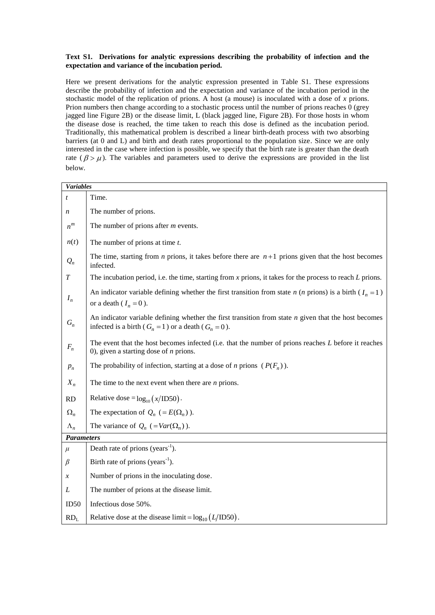## **Text S1. Derivations for analytic expressions describing the probability of infection and the expectation and variance of the incubation period.**

Here we present derivations for the analytic expression presented in Table S1. These expressions describe the probability of infection and the expectation and variance of the incubation period in the stochastic model of the replication of prions. A host (a mouse) is inoculated with a dose of *x* prions. Prion numbers then change according to a stochastic process until the number of prions reaches 0 (grey jagged line Figure 2B) or the disease limit, L (black jagged line, Figure 2B). For those hosts in whom the disease dose is reached, the time taken to reach this dose is defined as the incubation period. Traditionally, this mathematical problem is described a linear birth-death process with two absorbing barriers (at 0 and L) and birth and death rates proportional to the population size. Since we are only interested in the case where infection is possible, we specify that the birth rate is greater than the death rate ( $\beta > \mu$ ). The variables and parameters used to derive the expressions are provided in the list below.

| <b>Variables</b>   |                                                                                                                                                                       |
|--------------------|-----------------------------------------------------------------------------------------------------------------------------------------------------------------------|
| t                  | Time.                                                                                                                                                                 |
| n                  | The number of prions.                                                                                                                                                 |
| $\boldsymbol{n}^m$ | The number of prions after $m$ events.                                                                                                                                |
| n(t)               | The number of prions at time $t$ .                                                                                                                                    |
| $Q_n$              | The time, starting from <i>n</i> prions, it takes before there are $n+1$ prions given that the host becomes<br>infected.                                              |
| T                  | The incubation period, i.e. the time, starting from $x$ prions, it takes for the process to reach $L$ prions.                                                         |
| $I_n$              | An indicator variable defining whether the first transition from state <i>n</i> ( <i>n</i> prions) is a birth ( $I_n = 1$ )<br>or a death ( $I_n = 0$ ).              |
| $G_n$              | An indicator variable defining whether the first transition from state $n$ given that the host becomes<br>infected is a birth ( $G_n = 1$ ) or a death ( $G_n = 0$ ). |
| $F_n$              | The event that the host becomes infected (i.e. that the number of prions reaches L before it reaches<br>0), given a starting dose of $n$ prions.                      |
| $p_n$              | The probability of infection, starting at a dose of <i>n</i> prions $(P(F_n))$ .                                                                                      |
| $X_n$              | The time to the next event when there are $n$ prions.                                                                                                                 |
| <b>RD</b>          | Relative dose = $log_{10}(x/1D50)$ .                                                                                                                                  |
| $\Omega_n$         | The expectation of $Q_n$ (= $E(\Omega_n)$ ).                                                                                                                          |
| $\Lambda_n$        | The variance of $Q_n$ (=Var( $\Omega_n$ )).                                                                                                                           |
| <b>Parameters</b>  |                                                                                                                                                                       |
| $\mu$              | Death rate of prions (years <sup>-1</sup> ).                                                                                                                          |
| β                  | Birth rate of prions ( $years^{-1}$ ).                                                                                                                                |
| $\boldsymbol{x}$   | Number of prions in the inoculating dose.                                                                                                                             |
| L                  | The number of prions at the disease limit.                                                                                                                            |
| ID50               | Infectious dose 50%.                                                                                                                                                  |
| RD <sub>L</sub>    | Relative dose at the disease limit = $log_{10}(L/ID50)$ .                                                                                                             |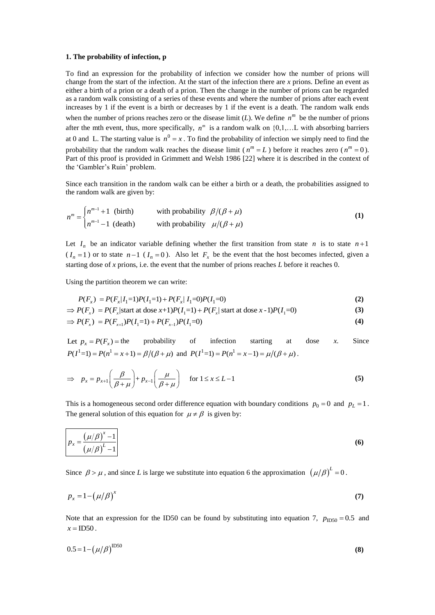#### **1. The probability of infection, p**

To find an expression for the probability of infection we consider how the number of prions will change from the start of the infection. At the start of the infection there are *x* prions. Define an event as either a birth of a prion or a death of a prion. Then the change in the number of prions can be regarded as a random walk consisting of a series of these events and where the number of prions after each event increases by 1 if the event is a birth or decreases by 1 if the event is a death. The random walk ends when the number of prions reaches zero or the disease limit  $(L)$ . We define  $n^m$  be the number of prions after the mth event, thus, more specifically,  $n^m$  is a random walk on  $\{0,1,...L$  with absorbing barriers at 0 and L. The starting value is  $n^0 = x$ . To find the probability of infection we simply need to find the probability that the random walk reaches the disease limit ( $n^m = L$ ) before it reaches zero ( $n^m = 0$ ). Part of this proof is provided in Grimmett and Welsh 1986 [22] where it is described in the context of the 'Gambler's Ruin' problem.

Since each transition in the random walk can be either a birth or a death, the probabilities assigned to the random walk are given by:

the random walk are given by:  
\n
$$
n^{m} = \begin{cases} n^{m-1} + 1 & \text{(birth)} \\ n^{m-1} - 1 & \text{(death)} \end{cases} \qquad \text{with probability} \quad \beta/(\beta + \mu) \tag{1}
$$

Let  $I_n$  be an indicator variable defining whether the first transition from state n is to state  $n+1$  $(I_n = 1)$  or to state  $n-1$   $(I_n = 0)$ . Also let  $F_x$  be the event that the host becomes infected, given a starting dose of *x* prions, i.e. the event that the number of prions reaches *L* before it reaches 0.

Using the partition theorem we can write:  
\n
$$
P(F_x) = P(F_x | I_1 = 1)P(I_1 = 1) + P(F_x | I_1 = 0)P(I_1 = 0)
$$
\n(2)

Using the partition theorem we can write:  
\n
$$
P(F_x) = P(F_x | I_1 = 1)P(I_1 = 1) + P(F_x | I_1 = 0)P(I_1 = 0)
$$
\n
$$
\Rightarrow P(F_x) = P(F_x | \text{start at dose } x + 1)P(I_1 = 1) + P(F_x | \text{start at dose } x - 1)P(I_1 = 0)
$$
\n(3)

$$
\Rightarrow P(F_x) = P(F_x | \text{start at dose } x+1)P(I_1=1) + P(F_x | \text{start at dose } x-1)P(I_1=0)
$$
\n
$$
\Rightarrow P(F_x) = P(F_{x+1})P(I_1=1) + P(F_{x-1})P(I_1=0)
$$
\n(3)

Let  $p_x = P(F_x)$  = the probability of infection starting at dose *x*. Since  $P(I^{1}=1) = P(n^{1} = x+1) = \beta/(\beta + \mu)$  and  $P(I^{1}=1) = P(n^{1} = x-1) = \mu/(\beta + \mu)$ .

$$
\Rightarrow p_x = p_{x+1} \left( \frac{\beta}{\beta + \mu} \right) + p_{x-1} \left( \frac{\mu}{\beta + \mu} \right) \quad \text{for } 1 \le x \le L - 1 \tag{5}
$$

This is a homogeneous second order difference equation with boundary conditions  $p_0 = 0$  and  $p_L = 1$ . The general solution of this equation for  $\mu \neq \beta$  is given by:

$$
p_x = \frac{\left(\mu/\beta\right)^x - 1}{\left(\mu/\beta\right)^L - 1}
$$
\n(6)

Since  $\beta > \mu$ , and since *L* is large we substitute into equation 6 the approximation  $(\mu/\beta)^L = 0$ .

$$
p_x = 1 - \left(\mu/\beta\right)^x \tag{7}
$$

Note that an expression for the ID50 can be found by substituting into equation 7,  $p_{ID50} = 0.5$  and  $x =$ ID50.

$$
0.5 = 1 - (\mu/\beta)^{1250}
$$
 (8)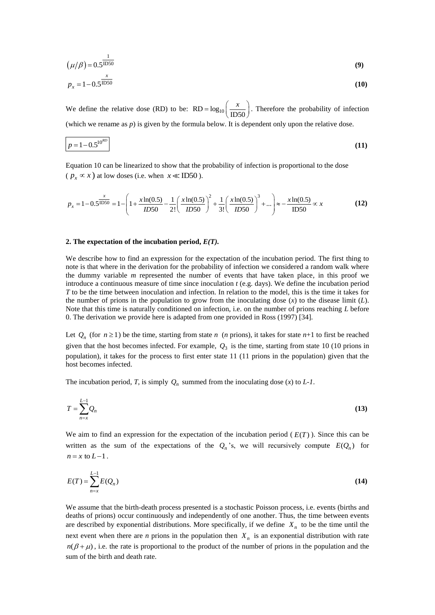$$
\left(\mu/\beta\right) = 0.5^{\frac{1}{\text{ID}50}}\tag{9}
$$

$$
p_x = 1 - 0.5^{\frac{x}{\text{ID}50}} \tag{10}
$$

We define the relative dose (RD) to be:  $RD = log_{10} \left( \frac{x}{1D50} \right)$ . Therefore the probability of infection (which we rename as  $p$ ) is given by the formula below. It is dependent only upon the relative dose.

$$
p = 1 - 0.5^{10^{RD}} \tag{11}
$$

Equation 10 can be linearized to show that the probability of infection is proportional to the dose  $(p_x \propto x)$  at low doses (i.e. when  $x \ll \text{ID}50$ ).

$$
(p_x \propto x)
$$
 at low doses (i.e. when  $x \ll \text{ID50})$ .  

$$
p_x = 1 - 0.5^{\frac{x}{\text{ID50}}} = 1 - \left(1 + \frac{x \ln(0.5)}{1D50} - \frac{1}{2!} \left(\frac{x \ln(0.5)}{1D50}\right)^2 + \frac{1}{3!} \left(\frac{x \ln(0.5)}{1D50}\right)^3 + \dots\right) \approx -\frac{x \ln(0.5)}{\text{ID50}} \propto x
$$
(12)

#### **2. The expectation of the incubation period,** *E(T).*

We describe how to find an expression for the expectation of the incubation period. The first thing to note is that where in the derivation for the probability of infection we considered a random walk where the dummy variable *m* represented the number of events that have taken place, in this proof we introduce a continuous measure of time since inoculation *t* (e.g. days). We define the incubation period *T* to be the time between inoculation and infection. In relation to the model, this is the time it takes for the number of prions in the population to grow from the inoculating dose  $(x)$  to the disease limit  $(L)$ . Note that this time is naturally conditioned on infection, i.e. on the number of prions reaching *L* before 0. The derivation we provide here is adapted from one provided in Ross (1997) [34].

Let  $Q_n$  (for  $n \ge 1$ ) be the time, starting from state *n* (*n* prions), it takes for state *n*+1 to first be reached given that the host becomes infected. For example,  $Q_3$  is the time, starting from state 10 (10 prions in population), it takes for the process to first enter state 11 (11 prions in the population) given that the host becomes infected.

The incubation period, *T*, is simply  $Q_n$  summed from the inoculating dose (*x*) to *L-1*.

$$
T = \sum_{n=x}^{L-1} Q_n \tag{13}
$$

We aim to find an expression for the expectation of the incubation period  $(E(T))$ . Since this can be written as the sum of the expectations of the  $Q_n$ 's, we will recursively compute  $E(Q_n)$  for  $n = x$  to  $L-1$ .

$$
E(T) = \sum_{n=x}^{L-1} E(Q_n)
$$
\n
$$
(14)
$$

We assume that the birth-death process presented is a stochastic Poisson process, i.e. events (births and deaths of prions) occur continuously and [independently of one another.](http://en.wikipedia.org/wiki/Memorylessness) Thus, the time between events are described by exponential distributions. More specifically, if we define  $X_n$  to be the time until the next event when there are *n* prions in the population then  $X_n$  is an exponential distribution with rate  $n(\beta + \mu)$ , i.e. the rate is proportional to the product of the number of prions in the population and the sum of the birth and death rate.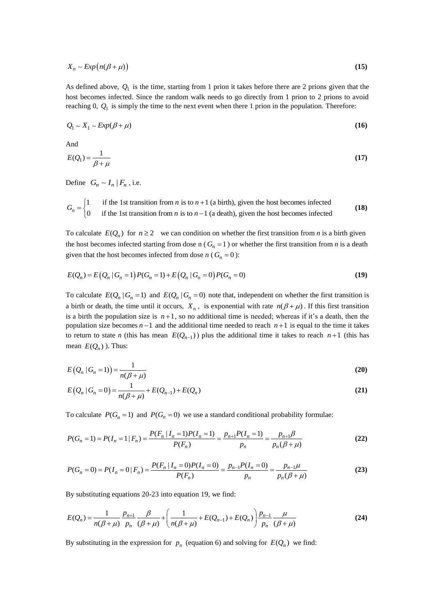$$
X_n \sim Exp\big(n(\beta + \mu)\big) \tag{15}
$$

As defined above,  $Q_1$  is the time, starting from 1 prion it takes before there are 2 prions given that the host becomes infected. Since the random walk needs to go directly from 1 prion to 2 prions to avoid reaching  $0, Q_1$  is simply the time to the next event when there 1 prion in the population. Therefore:

$$
Q_1 \sim X_1 \sim Exp(\beta + \mu) \tag{16}
$$

And

$$
E(Q_1) = \frac{1}{\beta + \mu} \tag{17}
$$

Define  $G_n \sim I_n | F_n$ , i.e.

Define 
$$
G_n \sim I_n |F_n
$$
, i.e.  
\n
$$
G_n = \begin{cases} 1 & \text{if the 1st transition from } n \text{ is to } n+1 \text{ (a birth), given the host becomes infected} \\ 0 & \text{if the 1st transition from } n \text{ is to } n-1 \text{ (a death), given the host becomes infected} \end{cases}
$$
\n(18)

To calculate  $E(Q_n)$  for  $n \ge 2$  we can condition on whether the first transition from *n* is a birth given the host becomes infected starting from dose n ( $G<sub>n</sub> = 1$ ) or whether the first transition from *n* is a death

given that the host becomes infected from dose *n* (
$$
G_n = 0
$$
):  
\n
$$
E(Q_n) = E(Q_n | G_n = 1) P(G_n = 1) + E(Q_n | G_n = 0) P(G_n = 0)
$$
\n(19)

To calculate  $E(Q_n | G_n = 1)$  and  $E(Q_n | G_n = 0)$  note that, independent on whether the first transition is a birth or death, the time until it occurs,  $X_n$ , is exponential with rate  $n(\beta + \mu)$ . If this first transition is a birth the population size is  $n+1$ , so no additional time is needed; whereas if it's a death, then the population size becomes  $n-1$  and the additional time needed to reach  $n+1$  is equal to the time it takes to return to state *n* (this has mean  $E(Q_{n-1})$ ) plus the additional time it takes to reach  $n+1$  (this has mean  $E(Q_n)$ ). Thus:

$$
E\left(Q_n \mid G_n = 1\right) = \frac{1}{n(\beta + \mu)}\tag{20}
$$

$$
E(Q_n | G_n = 0) = \frac{1}{n(\beta + \mu)} + E(Q_{n-1}) + E(Q_n)
$$
\n(21)

To calculate 
$$
P(G_n = 1)
$$
 and  $P(G_n = 0)$  we use a standard conditional probability formulae:  
\n
$$
P(G_n = 1) = P(I_n = 1 | F_n) = \frac{P(F_n | I_n = 1)P(I_n = 1)}{P(F_n)} = \frac{P_{n+1}P(I_n = 1)}{P_n} = \frac{P_{n+1}\beta}{P_n(\beta + \mu)}
$$
\n(22)

$$
P(G_n = 0) = P(I_n = 0 | F_n) = \frac{P(F_n | I_n = 0)P(I_n = 0)}{P(F_n)} = \frac{P_{n-1}P(I_n = 0)}{P_n} = \frac{P_{n-1}\mu}{P_n(\beta + \mu)}
$$
(23)

By substituting equations 20-23 into equation 19, we find:  
\n
$$
E(Q_n) = \frac{1}{n(\beta + \mu)} \frac{p_{n+1}}{p_n} \frac{\beta}{(\beta + \mu)} + \left(\frac{1}{n(\beta + \mu)} + E(Q_{n-1}) + E(Q_n)\right) \frac{p_{n-1}}{p_n} \frac{\mu}{(\beta + \mu)}
$$
\n(24)

By substituting in the expression for  $p_n$  (equation 6) and solving for  $E(Q_n)$  we find: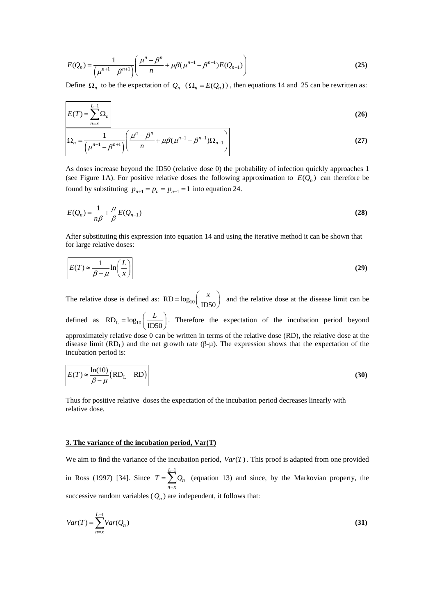$$
E(Q_n) = \frac{1}{\left(\mu^{n+1} - \beta^{n+1}\right)} \left(\frac{\mu^n - \beta^n}{n} + \mu \beta (\mu^{n-1} - \beta^{n-1}) E(Q_{n-1})\right)
$$
(25)

Define  $\Omega_n$  to be the expectation of  $Q_n$  ( $\Omega_n = E(Q_n)$ ), then equations 14 and 25 can be rewritten as:

$$
E(T) = \sum_{n=x}^{L-1} \Omega_n
$$
\n
$$
O = \frac{1}{\left(\mu^n - \beta^n + \mu g(\mu^{n-1} - \beta^{n-1})O\right)}
$$
\n(26)

$$
\Omega_n = \frac{1}{\left(\mu^{n+1} - \beta^{n+1}\right)} \left(\frac{\mu^n - \beta^n}{n} + \mu \beta (\mu^{n-1} - \beta^{n-1}) \Omega_{n-1}\right)
$$
(27)

As doses increase beyond the ID50 (relative dose 0) the probability of infection quickly approaches 1 (see Figure 1A). For positive relative doses the following approximation to  $E(Q_n)$  can therefore be found by substituting  $p_{n+1} = p_n = p_{n-1} = 1$  into equation 24.

$$
E(Q_n) = \frac{1}{n\beta} + \frac{\mu}{\beta} E(Q_{n-1})
$$
\n(28)

After substituting this expression into equation 14 and using the iterative method it can be shown that for large relative doses:

$$
E(T) \approx \frac{1}{\beta - \mu} \ln\left(\frac{L}{x}\right)
$$
 (29)

The relative dose is defined as:  $RD = log_{10} \left( \frac{x}{1D50} \right)$  and the relative dose at the disease limit can be defined as  $RD_L = log_{10} \left( \frac{L}{ID50} \right)$ . Therefore the expectation of the incubation period beyond approximately relative dose 0 can be written in terms of the relative dose (RD), the relative dose at the disease limit  $(RD<sub>L</sub>)$  and the net growth rate (β-μ). The expression shows that the expectation of the incubation period is:

$$
E(T) \approx \frac{\ln(10)}{\beta - \mu} (RD_{L} - RD)
$$
\n(30)

Thus for positive relative doses the expectation of the incubation period decreases linearly with relative dose.

### **3. The variance of the incubation period, Var(T)**

We aim to find the variance of the incubation period,  $Var(T)$ . This proof is adapted from one provided in Ross (1997) [34]. Since  $L-1$ *n n x*  $T = \sum_{i=1}^{n} Q_i$ - $=\sum_{n=x}Q_n$  (equation 13) and since, by the Markovian property, the successive random variables  $(Q_n)$  are independent, it follows that:

$$
Var(T) = \sum_{n=x}^{L-1} Var(Q_n)
$$
\n(31)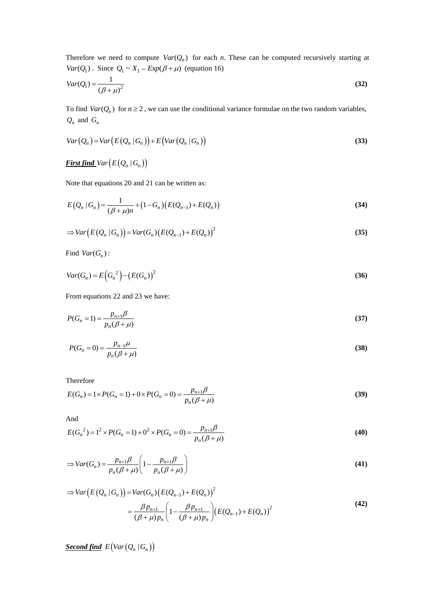Therefore we need to compute  $Var(Q_n)$  for each *n*. These can be computed recursively starting at  $Var(Q_1)$ . Since  $Q_1 \sim X_1 \sim Exp(\beta + \mu)$  (equation 16)

$$
Var(Q_1) = \frac{1}{\left(\beta + \mu\right)^2} \tag{32}
$$

To find  $Var(Q_n)$  for  $n \ge 2$ , we can use the conditional variance formulae on the two random variables,  $Q_n$  and  $G_n$ 

$$
Var(Q_n) = Var(E(Q_n | G_n)) + E(Var(Q_n | G_n))
$$
\n(33)

# $\overline{\text{First find}} \text{Var}\big(E\big(Q_n \,|\, G_n\big)\big)$

Note that equations 20 and 21 can be written as:

$$
E(Q_n | G_n) = \frac{1}{(\beta + \mu)n} + (1 - G_n)(E(Q_{n-1}) + E(Q_n))
$$
\n(34)

$$
\Rightarrow Var(E(Q_n | G_n)) = Var(G_n)(E(Q_{n-1}) + E(Q_n))^{2}
$$
\n(35)

Find  $Var(G_n)$ :

$$
Var(G_n) = E\left(G_n^2\right) - \left(E(G_n)\right)^2\tag{36}
$$

From equations 22 and 23 we have:

$$
P(G_n = 1) = \frac{p_{n+1}\beta}{p_n(\beta + \mu)}
$$
\n(37)

$$
P(G_n = 0) = \frac{p_{n-1}\mu}{p_n(\beta + \mu)}
$$
\n(38)

Therefore

Therefore  
\n
$$
E(G_n) = 1 \times P(G_n = 1) + 0 \times P(G_n = 0) = \frac{p_{n+1}\beta}{p_n(\beta + \mu)}
$$
\n(39)

And

And  
\n
$$
E(G_n^2) = 1^2 \times P(G_n = 1) + 0^2 \times P(G_n = 0) = \frac{p_{n+1}\beta}{p_n(\beta + \mu)}
$$
\n(40)

$$
\Rightarrow Var(G_n) = \frac{p_{n+1}\beta}{p_n(\beta + \mu)} \left(1 - \frac{p_{n+1}\beta}{p_n(\beta + \mu)}\right)
$$
(41)

$$
Var(E(Q_n | G_n)) = Var(G_n)(E(Q_{n-1}) + E(Q_n))^{2}
$$
  
= 
$$
\frac{\beta p_{n+1}}{(\beta + \mu) p_n} \left(1 - \frac{\beta p_{n+1}}{(\beta + \mu) p_n}\right) (E(Q_{n-1}) + E(Q_n))^{2}
$$
 (42)

 $\underline{\textit{Second find}}\,\, E\big(\textit{Var}\big(\mathcal{Q}_n\,|\,G_n\big)\big)$